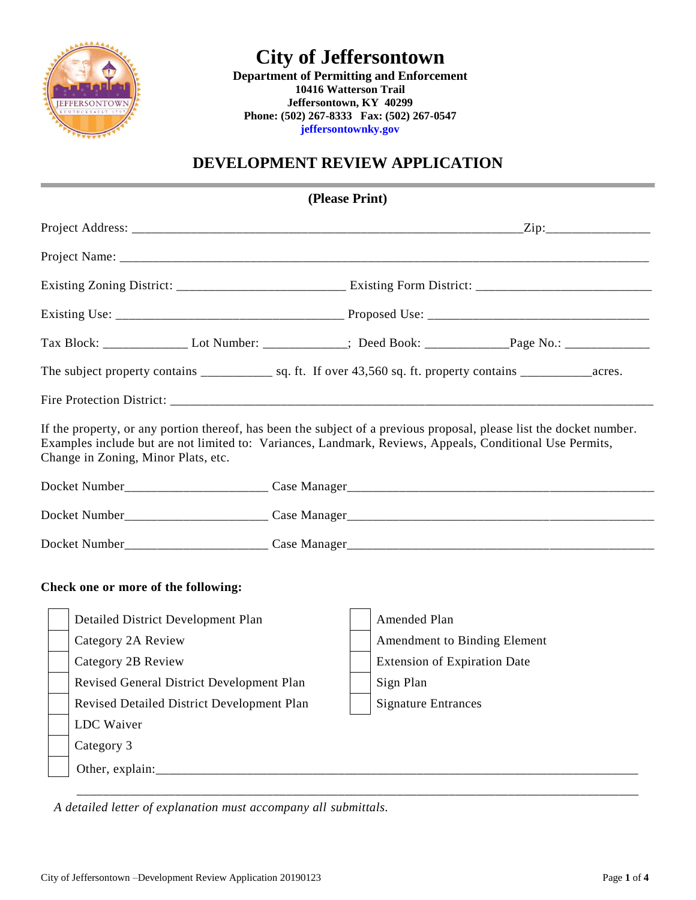

**Department of Permitting and Enforcement 10416 Watterson Trail Jeffersontown, KY 40299 Phone: (502) 267-8333 Fax: (502) 267-0547 jeffersontownky.gov**

### **DEVELOPMENT REVIEW APPLICATION**

|                                                                                                                                                                                                                                                                         |  | (Please Print) |                                     |                              |  |  |  |
|-------------------------------------------------------------------------------------------------------------------------------------------------------------------------------------------------------------------------------------------------------------------------|--|----------------|-------------------------------------|------------------------------|--|--|--|
|                                                                                                                                                                                                                                                                         |  |                |                                     |                              |  |  |  |
|                                                                                                                                                                                                                                                                         |  |                |                                     |                              |  |  |  |
|                                                                                                                                                                                                                                                                         |  |                |                                     |                              |  |  |  |
|                                                                                                                                                                                                                                                                         |  |                |                                     |                              |  |  |  |
|                                                                                                                                                                                                                                                                         |  |                |                                     |                              |  |  |  |
|                                                                                                                                                                                                                                                                         |  |                |                                     |                              |  |  |  |
|                                                                                                                                                                                                                                                                         |  |                |                                     |                              |  |  |  |
| If the property, or any portion thereof, has been the subject of a previous proposal, please list the docket number.<br>Examples include but are not limited to: Variances, Landmark, Reviews, Appeals, Conditional Use Permits,<br>Change in Zoning, Minor Plats, etc. |  |                |                                     |                              |  |  |  |
|                                                                                                                                                                                                                                                                         |  |                |                                     |                              |  |  |  |
|                                                                                                                                                                                                                                                                         |  |                |                                     |                              |  |  |  |
|                                                                                                                                                                                                                                                                         |  |                |                                     |                              |  |  |  |
| Check one or more of the following:                                                                                                                                                                                                                                     |  |                |                                     |                              |  |  |  |
| Detailed District Development Plan                                                                                                                                                                                                                                      |  | Amended Plan   |                                     |                              |  |  |  |
| Category 2A Review                                                                                                                                                                                                                                                      |  |                |                                     | Amendment to Binding Element |  |  |  |
| Category 2B Review                                                                                                                                                                                                                                                      |  |                | <b>Extension of Expiration Date</b> |                              |  |  |  |
| Revised General District Development Plan                                                                                                                                                                                                                               |  | Sign Plan      |                                     |                              |  |  |  |
| Revised Detailed District Development Plan                                                                                                                                                                                                                              |  |                | <b>Signature Entrances</b>          |                              |  |  |  |
| LDC Waiver                                                                                                                                                                                                                                                              |  |                |                                     |                              |  |  |  |
| Category 3                                                                                                                                                                                                                                                              |  |                |                                     |                              |  |  |  |
|                                                                                                                                                                                                                                                                         |  |                |                                     |                              |  |  |  |
|                                                                                                                                                                                                                                                                         |  |                |                                     |                              |  |  |  |

*A detailed letter of explanation must accompany all submittals.*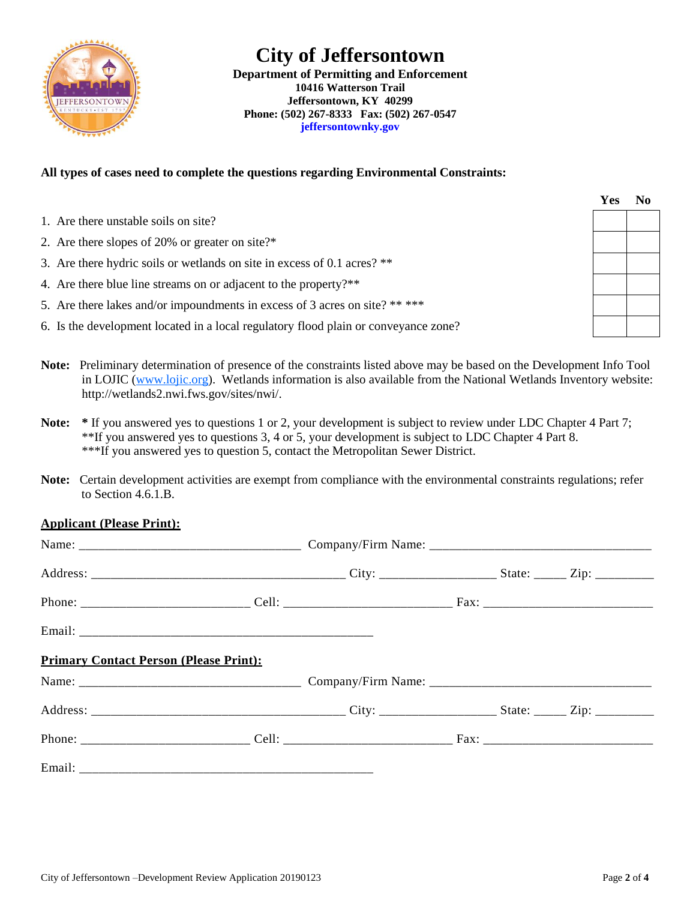

**Department of Permitting and Enforcement 10416 Watterson Trail Jeffersontown, KY 40299 Phone: (502) 267-8333 Fax: (502) 267-0547 jeffersontownky.gov**

#### **All types of cases need to complete the questions regarding Environmental Constraints:**

| 1. Are there unstable soils on site?                                                |  |
|-------------------------------------------------------------------------------------|--|
| 2. Are there slopes of 20% or greater on site?*                                     |  |
| 3. Are there hydric soils or wetlands on site in excess of 0.1 acres? **            |  |
| 4. Are there blue line streams on or adjacent to the property?**                    |  |
| 5. Are there lakes and/or impoundments in excess of 3 acres on site? ** ***         |  |
| 6. Is the development located in a local regulatory flood plain or conveyance zone? |  |

- **Note:** Preliminary determination of presence of the constraints listed above may be based on the Development Info Tool in LOJIC (www.lojic.org). Wetlands information is also available from the National Wetlands Inventory website: http://wetlands2.nwi.fws.gov/sites/nwi/.
- **Note: \*** If you answered yes to questions 1 or 2, your development is subject to review under LDC Chapter 4 Part 7; \*\*If you answered yes to questions 3, 4 or 5, your development is subject to LDC Chapter 4 Part 8. \*\*\*If you answered yes to question 5, contact the Metropolitan Sewer District.
- **Note:** Certain development activities are exempt from compliance with the environmental constraints regulations; refer to Section 4.6.1.B.

#### **Applicant (Please Print):**

| <b>Primary Contact Person (Please Print):</b> |  |  |  |
|-----------------------------------------------|--|--|--|
|                                               |  |  |  |
|                                               |  |  |  |
|                                               |  |  |  |
|                                               |  |  |  |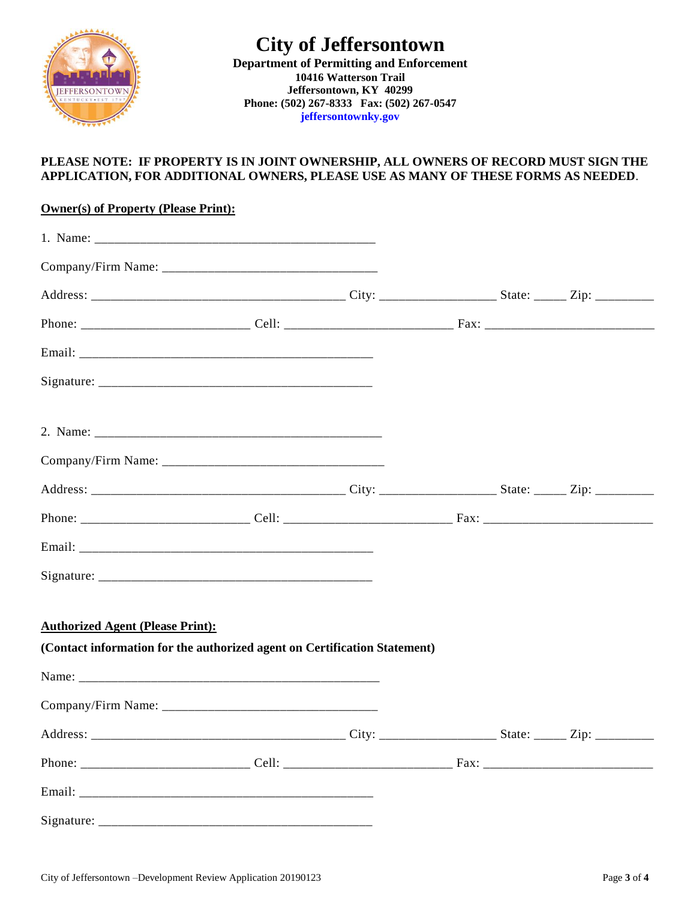

**Department of Permitting and Enforcement 10416 Watterson Trail Jeffersontown, KY 40299 Phone: (502) 267-8333 Fax: (502) 267-0547 jeffersontownky.gov**

#### **PLEASE NOTE: IF PROPERTY IS IN JOINT OWNERSHIP, ALL OWNERS OF RECORD MUST SIGN THE APPLICATION, FOR ADDITIONAL OWNERS, PLEASE USE AS MANY OF THESE FORMS AS NEEDED**.

| <b>Owner(s) of Property (Please Print):</b>                                                                          |  |  |  |
|----------------------------------------------------------------------------------------------------------------------|--|--|--|
|                                                                                                                      |  |  |  |
|                                                                                                                      |  |  |  |
|                                                                                                                      |  |  |  |
|                                                                                                                      |  |  |  |
|                                                                                                                      |  |  |  |
|                                                                                                                      |  |  |  |
|                                                                                                                      |  |  |  |
|                                                                                                                      |  |  |  |
|                                                                                                                      |  |  |  |
|                                                                                                                      |  |  |  |
|                                                                                                                      |  |  |  |
|                                                                                                                      |  |  |  |
|                                                                                                                      |  |  |  |
| <b>Authorized Agent (Please Print):</b><br>(Contact information for the authorized agent on Certification Statement) |  |  |  |
|                                                                                                                      |  |  |  |
|                                                                                                                      |  |  |  |
|                                                                                                                      |  |  |  |
|                                                                                                                      |  |  |  |
|                                                                                                                      |  |  |  |
|                                                                                                                      |  |  |  |